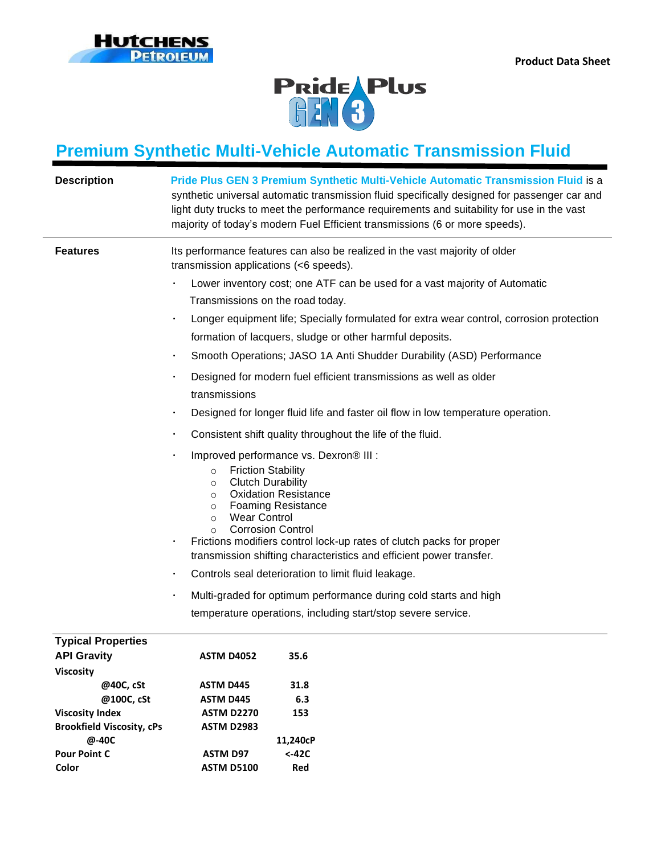



## **Premium Synthetic Multi-Vehicle Automatic Transmission Fluid**

| <b>Description</b>                                                                                                                                                                                    | Pride Plus GEN 3 Premium Synthetic Multi-Vehicle Automatic Transmission Fluid is a<br>synthetic universal automatic transmission fluid specifically designed for passenger car and<br>light duty trucks to meet the performance requirements and suitability for use in the vast<br>majority of today's modern Fuel Efficient transmissions (6 or more speeds).                                                                                                                                                                                                                                                                                                                                                                                                                                                                                                                                                                                                                                                                                                                                                                                                                                                                                                                                                                                             |
|-------------------------------------------------------------------------------------------------------------------------------------------------------------------------------------------------------|-------------------------------------------------------------------------------------------------------------------------------------------------------------------------------------------------------------------------------------------------------------------------------------------------------------------------------------------------------------------------------------------------------------------------------------------------------------------------------------------------------------------------------------------------------------------------------------------------------------------------------------------------------------------------------------------------------------------------------------------------------------------------------------------------------------------------------------------------------------------------------------------------------------------------------------------------------------------------------------------------------------------------------------------------------------------------------------------------------------------------------------------------------------------------------------------------------------------------------------------------------------------------------------------------------------------------------------------------------------|
| <b>Features</b>                                                                                                                                                                                       | Its performance features can also be realized in the vast majority of older<br>transmission applications (<6 speeds).<br>Lower inventory cost; one ATF can be used for a vast majority of Automatic<br>Transmissions on the road today.<br>Longer equipment life; Specially formulated for extra wear control, corrosion protection<br>formation of lacquers, sludge or other harmful deposits.<br>Smooth Operations; JASO 1A Anti Shudder Durability (ASD) Performance<br>Designed for modern fuel efficient transmissions as well as older<br>transmissions<br>Designed for longer fluid life and faster oil flow in low temperature operation.<br>Consistent shift quality throughout the life of the fluid.<br>Improved performance vs. Dexron® III :<br><b>Friction Stability</b><br>$\circ$<br><b>Clutch Durability</b><br>$\circ$<br><b>Oxidation Resistance</b><br>$\circ$<br><b>Foaming Resistance</b><br>$\circ$<br><b>Wear Control</b><br>$\circ$<br><b>Corrosion Control</b><br>$\Omega$<br>Frictions modifiers control lock-up rates of clutch packs for proper<br>transmission shifting characteristics and efficient power transfer.<br>Controls seal deterioration to limit fluid leakage.<br>Multi-graded for optimum performance during cold starts and high<br>$\bullet$<br>temperature operations, including start/stop severe service. |
| <b>Typical Properties</b><br><b>API Gravity</b><br><b>Viscosity</b><br>@40C, cSt<br>@100C, cSt<br><b>Viscosity Index</b><br><b>Brookfield Viscosity, cPs</b><br>@-40C<br><b>Pour Point C</b><br>Color | <b>ASTM D4052</b><br>35.6<br>31.8<br>ASTM D445<br>6.3<br>ASTM D445<br>153<br><b>ASTM D2270</b><br><b>ASTM D2983</b><br>11,240cP<br>$< -42C$<br><b>ASTM D97</b><br>Red<br><b>ASTM D5100</b>                                                                                                                                                                                                                                                                                                                                                                                                                                                                                                                                                                                                                                                                                                                                                                                                                                                                                                                                                                                                                                                                                                                                                                  |